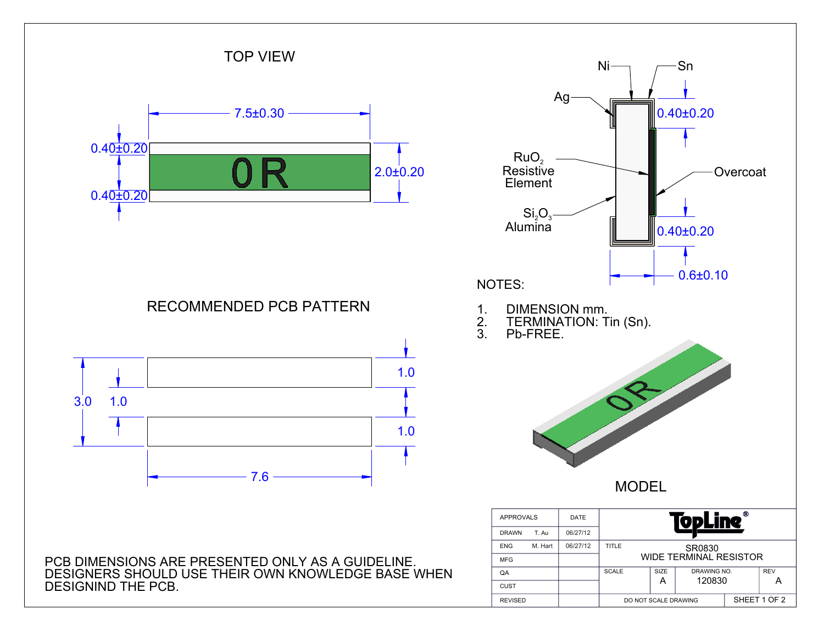